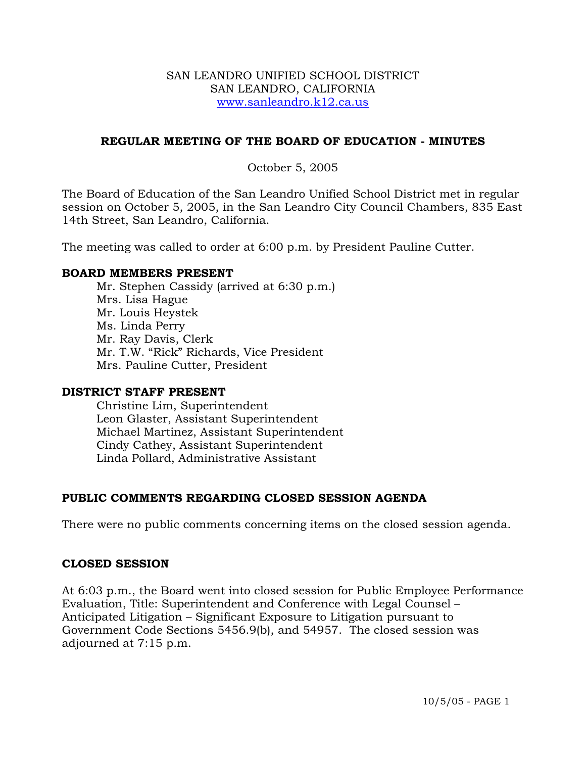#### SAN LEANDRO UNIFIED SCHOOL DISTRICT SAN LEANDRO, CALIFORNIA www.sanleandro.k12.ca.us

## **REGULAR MEETING OF THE BOARD OF EDUCATION - MINUTES**

## October 5, 2005

The Board of Education of the San Leandro Unified School District met in regular session on October 5, 2005, in the San Leandro City Council Chambers, 835 East 14th Street, San Leandro, California.

The meeting was called to order at 6:00 p.m. by President Pauline Cutter.

#### **BOARD MEMBERS PRESENT**

Mr. Stephen Cassidy (arrived at 6:30 p.m.) Mrs. Lisa Hague Mr. Louis Heystek Ms. Linda Perry Mr. Ray Davis, Clerk Mr. T.W. "Rick" Richards, Vice President Mrs. Pauline Cutter, President

#### **DISTRICT STAFF PRESENT**

Christine Lim, Superintendent Leon Glaster, Assistant Superintendent Michael Martinez, Assistant Superintendent Cindy Cathey, Assistant Superintendent Linda Pollard, Administrative Assistant

## **PUBLIC COMMENTS REGARDING CLOSED SESSION AGENDA**

There were no public comments concerning items on the closed session agenda.

#### **CLOSED SESSION**

At 6:03 p.m., the Board went into closed session for Public Employee Performance Evaluation, Title: Superintendent and Conference with Legal Counsel – Anticipated Litigation – Significant Exposure to Litigation pursuant to Government Code Sections 5456.9(b), and 54957. The closed session was adjourned at 7:15 p.m.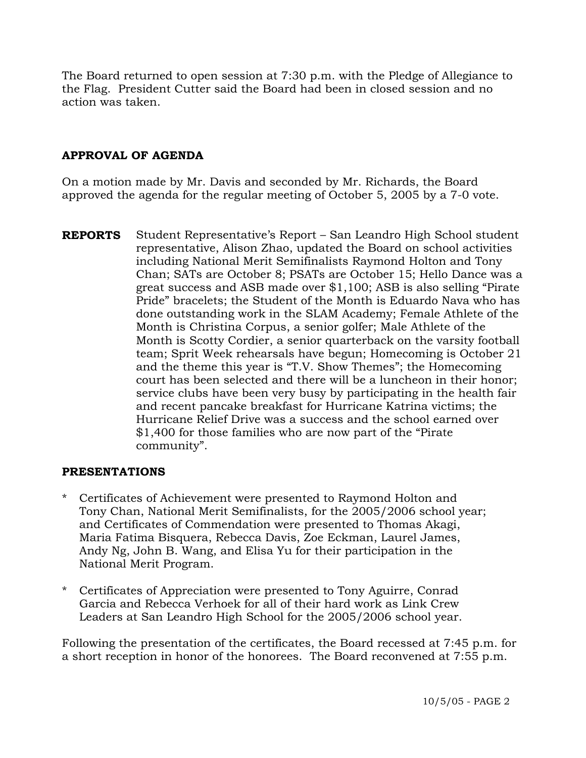The Board returned to open session at 7:30 p.m. with the Pledge of Allegiance to the Flag. President Cutter said the Board had been in closed session and no action was taken.

# **APPROVAL OF AGENDA**

On a motion made by Mr. Davis and seconded by Mr. Richards, the Board approved the agenda for the regular meeting of October 5, 2005 by a 7-0 vote.

**REPORTS** Student Representative's Report – San Leandro High School student representative, Alison Zhao, updated the Board on school activities including National Merit Semifinalists Raymond Holton and Tony Chan; SATs are October 8; PSATs are October 15; Hello Dance was a great success and ASB made over \$1,100; ASB is also selling "Pirate Pride" bracelets; the Student of the Month is Eduardo Nava who has done outstanding work in the SLAM Academy; Female Athlete of the Month is Christina Corpus, a senior golfer; Male Athlete of the Month is Scotty Cordier, a senior quarterback on the varsity football team; Sprit Week rehearsals have begun; Homecoming is October 21 and the theme this year is "T.V. Show Themes"; the Homecoming court has been selected and there will be a luncheon in their honor; service clubs have been very busy by participating in the health fair and recent pancake breakfast for Hurricane Katrina victims; the Hurricane Relief Drive was a success and the school earned over \$1,400 for those families who are now part of the "Pirate community".

#### **PRESENTATIONS**

- \* Certificates of Achievement were presented to Raymond Holton and Tony Chan, National Merit Semifinalists, for the 2005/2006 school year; and Certificates of Commendation were presented to Thomas Akagi, Maria Fatima Bisquera, Rebecca Davis, Zoe Eckman, Laurel James, Andy Ng, John B. Wang, and Elisa Yu for their participation in the National Merit Program.
- \* Certificates of Appreciation were presented to Tony Aguirre, Conrad Garcia and Rebecca Verhoek for all of their hard work as Link Crew Leaders at San Leandro High School for the 2005/2006 school year.

Following the presentation of the certificates, the Board recessed at 7:45 p.m. for a short reception in honor of the honorees. The Board reconvened at 7:55 p.m.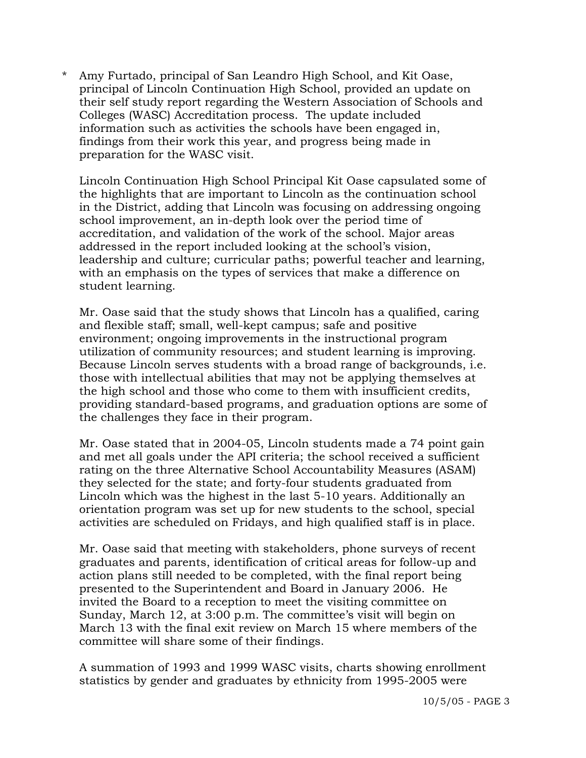\* Amy Furtado, principal of San Leandro High School, and Kit Oase, principal of Lincoln Continuation High School, provided an update on their self study report regarding the Western Association of Schools and Colleges (WASC) Accreditation process. The update included information such as activities the schools have been engaged in, findings from their work this year, and progress being made in preparation for the WASC visit.

 Lincoln Continuation High School Principal Kit Oase capsulated some of the highlights that are important to Lincoln as the continuation school in the District, adding that Lincoln was focusing on addressing ongoing school improvement, an in-depth look over the period time of accreditation, and validation of the work of the school. Major areas addressed in the report included looking at the school's vision, leadership and culture; curricular paths; powerful teacher and learning, with an emphasis on the types of services that make a difference on student learning.

 Mr. Oase said that the study shows that Lincoln has a qualified, caring and flexible staff; small, well-kept campus; safe and positive environment; ongoing improvements in the instructional program utilization of community resources; and student learning is improving. Because Lincoln serves students with a broad range of backgrounds, i.e. those with intellectual abilities that may not be applying themselves at the high school and those who come to them with insufficient credits, providing standard-based programs, and graduation options are some of the challenges they face in their program.

 Mr. Oase stated that in 2004-05, Lincoln students made a 74 point gain and met all goals under the API criteria; the school received a sufficient rating on the three Alternative School Accountability Measures (ASAM) they selected for the state; and forty-four students graduated from Lincoln which was the highest in the last 5-10 years. Additionally an orientation program was set up for new students to the school, special activities are scheduled on Fridays, and high qualified staff is in place.

 Mr. Oase said that meeting with stakeholders, phone surveys of recent graduates and parents, identification of critical areas for follow-up and action plans still needed to be completed, with the final report being presented to the Superintendent and Board in January 2006. He invited the Board to a reception to meet the visiting committee on Sunday, March 12, at 3:00 p.m. The committee's visit will begin on March 13 with the final exit review on March 15 where members of the committee will share some of their findings.

 A summation of 1993 and 1999 WASC visits, charts showing enrollment statistics by gender and graduates by ethnicity from 1995-2005 were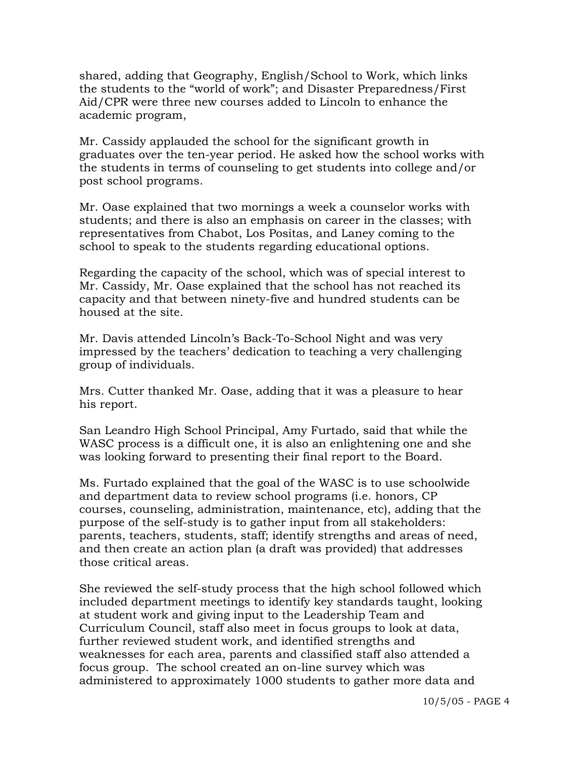shared, adding that Geography, English/School to Work, which links the students to the "world of work"; and Disaster Preparedness/First Aid/CPR were three new courses added to Lincoln to enhance the academic program,

 Mr. Cassidy applauded the school for the significant growth in graduates over the ten-year period. He asked how the school works with the students in terms of counseling to get students into college and/or post school programs.

 Mr. Oase explained that two mornings a week a counselor works with students; and there is also an emphasis on career in the classes; with representatives from Chabot, Los Positas, and Laney coming to the school to speak to the students regarding educational options.

 Regarding the capacity of the school, which was of special interest to Mr. Cassidy, Mr. Oase explained that the school has not reached its capacity and that between ninety-five and hundred students can be housed at the site.

 Mr. Davis attended Lincoln's Back-To-School Night and was very impressed by the teachers' dedication to teaching a very challenging group of individuals.

 Mrs. Cutter thanked Mr. Oase, adding that it was a pleasure to hear his report.

 San Leandro High School Principal, Amy Furtado, said that while the WASC process is a difficult one, it is also an enlightening one and she was looking forward to presenting their final report to the Board.

 Ms. Furtado explained that the goal of the WASC is to use schoolwide and department data to review school programs (i.e. honors, CP courses, counseling, administration, maintenance, etc), adding that the purpose of the self-study is to gather input from all stakeholders: parents, teachers, students, staff; identify strengths and areas of need, and then create an action plan (a draft was provided) that addresses those critical areas.

 She reviewed the self-study process that the high school followed which included department meetings to identify key standards taught, looking at student work and giving input to the Leadership Team and Curriculum Council, staff also meet in focus groups to look at data, further reviewed student work, and identified strengths and weaknesses for each area, parents and classified staff also attended a focus group. The school created an on-line survey which was administered to approximately 1000 students to gather more data and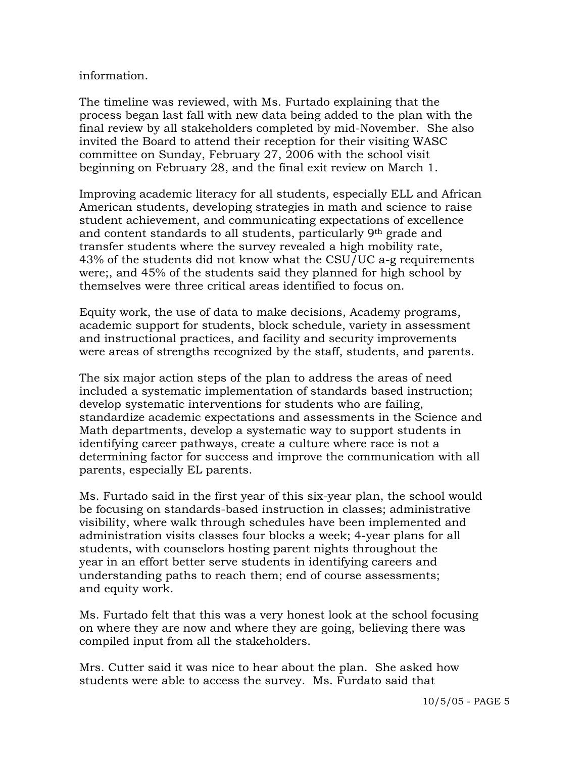#### information.

 The timeline was reviewed, with Ms. Furtado explaining that the process began last fall with new data being added to the plan with the final review by all stakeholders completed by mid-November. She also invited the Board to attend their reception for their visiting WASC committee on Sunday, February 27, 2006 with the school visit beginning on February 28, and the final exit review on March 1.

 Improving academic literacy for all students, especially ELL and African American students, developing strategies in math and science to raise student achievement, and communicating expectations of excellence and content standards to all students, particularly 9th grade and transfer students where the survey revealed a high mobility rate, 43% of the students did not know what the CSU/UC a-g requirements were;, and 45% of the students said they planned for high school by themselves were three critical areas identified to focus on.

 Equity work, the use of data to make decisions, Academy programs, academic support for students, block schedule, variety in assessment and instructional practices, and facility and security improvements were areas of strengths recognized by the staff, students, and parents.

 The six major action steps of the plan to address the areas of need included a systematic implementation of standards based instruction; develop systematic interventions for students who are failing, standardize academic expectations and assessments in the Science and Math departments, develop a systematic way to support students in identifying career pathways, create a culture where race is not a determining factor for success and improve the communication with all parents, especially EL parents.

 Ms. Furtado said in the first year of this six-year plan, the school would be focusing on standards-based instruction in classes; administrative visibility, where walk through schedules have been implemented and administration visits classes four blocks a week; 4-year plans for all students, with counselors hosting parent nights throughout the year in an effort better serve students in identifying careers and understanding paths to reach them; end of course assessments; and equity work.

 Ms. Furtado felt that this was a very honest look at the school focusing on where they are now and where they are going, believing there was compiled input from all the stakeholders.

 Mrs. Cutter said it was nice to hear about the plan. She asked how students were able to access the survey. Ms. Furdato said that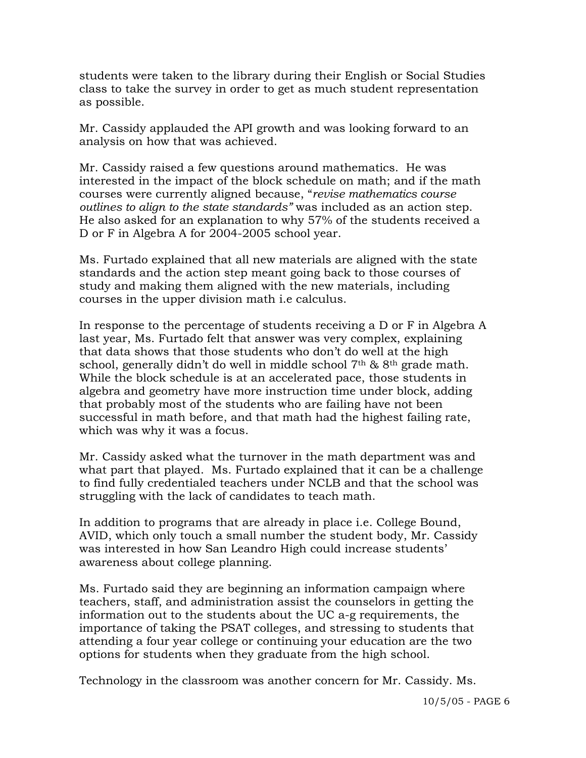students were taken to the library during their English or Social Studies class to take the survey in order to get as much student representation as possible.

 Mr. Cassidy applauded the API growth and was looking forward to an analysis on how that was achieved.

 Mr. Cassidy raised a few questions around mathematics. He was interested in the impact of the block schedule on math; and if the math courses were currently aligned because, "*revise mathematics course outlines to align to the state standards"* was included as an action step. He also asked for an explanation to why 57% of the students received a D or F in Algebra A for 2004-2005 school year.

 Ms. Furtado explained that all new materials are aligned with the state standards and the action step meant going back to those courses of study and making them aligned with the new materials, including courses in the upper division math i.e calculus.

 In response to the percentage of students receiving a D or F in Algebra A last year, Ms. Furtado felt that answer was very complex, explaining that data shows that those students who don't do well at the high school, generally didn't do well in middle school 7<sup>th</sup> & 8<sup>th</sup> grade math. While the block schedule is at an accelerated pace, those students in algebra and geometry have more instruction time under block, adding that probably most of the students who are failing have not been successful in math before, and that math had the highest failing rate, which was why it was a focus.

 Mr. Cassidy asked what the turnover in the math department was and what part that played. Ms. Furtado explained that it can be a challenge to find fully credentialed teachers under NCLB and that the school was struggling with the lack of candidates to teach math.

 In addition to programs that are already in place i.e. College Bound, AVID, which only touch a small number the student body, Mr. Cassidy was interested in how San Leandro High could increase students' awareness about college planning.

 Ms. Furtado said they are beginning an information campaign where teachers, staff, and administration assist the counselors in getting the information out to the students about the UC a-g requirements, the importance of taking the PSAT colleges, and stressing to students that attending a four year college or continuing your education are the two options for students when they graduate from the high school.

Technology in the classroom was another concern for Mr. Cassidy. Ms.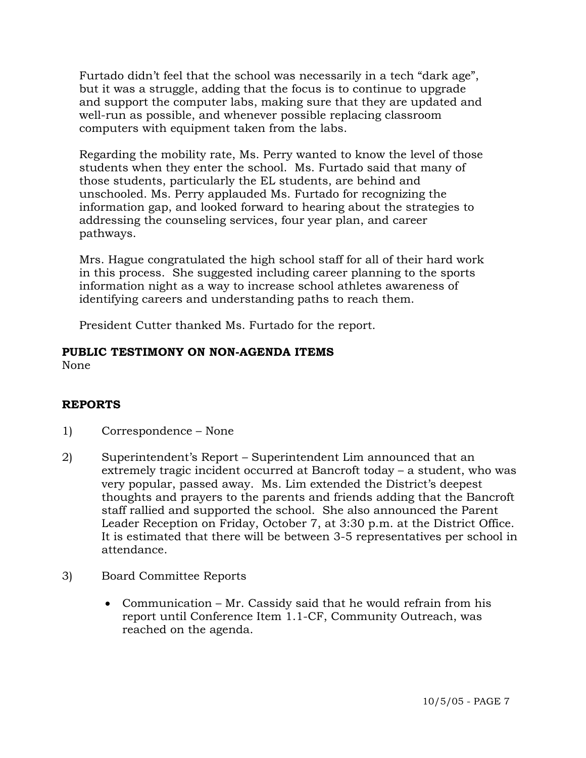Furtado didn't feel that the school was necessarily in a tech "dark age", but it was a struggle, adding that the focus is to continue to upgrade and support the computer labs, making sure that they are updated and well-run as possible, and whenever possible replacing classroom computers with equipment taken from the labs.

 Regarding the mobility rate, Ms. Perry wanted to know the level of those students when they enter the school. Ms. Furtado said that many of those students, particularly the EL students, are behind and unschooled. Ms. Perry applauded Ms. Furtado for recognizing the information gap, and looked forward to hearing about the strategies to addressing the counseling services, four year plan, and career pathways.

 Mrs. Hague congratulated the high school staff for all of their hard work in this process. She suggested including career planning to the sports information night as a way to increase school athletes awareness of identifying careers and understanding paths to reach them.

President Cutter thanked Ms. Furtado for the report.

# **PUBLIC TESTIMONY ON NON-AGENDA ITEMS**

None

# **REPORTS**

- 1) Correspondence None
- 2) Superintendent's Report Superintendent Lim announced that an extremely tragic incident occurred at Bancroft today – a student, who was very popular, passed away. Ms. Lim extended the District's deepest thoughts and prayers to the parents and friends adding that the Bancroft staff rallied and supported the school. She also announced the Parent Leader Reception on Friday, October 7, at 3:30 p.m. at the District Office. It is estimated that there will be between 3-5 representatives per school in attendance.
- 3) Board Committee Reports
	- Communication Mr. Cassidy said that he would refrain from his report until Conference Item 1.1-CF, Community Outreach, was reached on the agenda.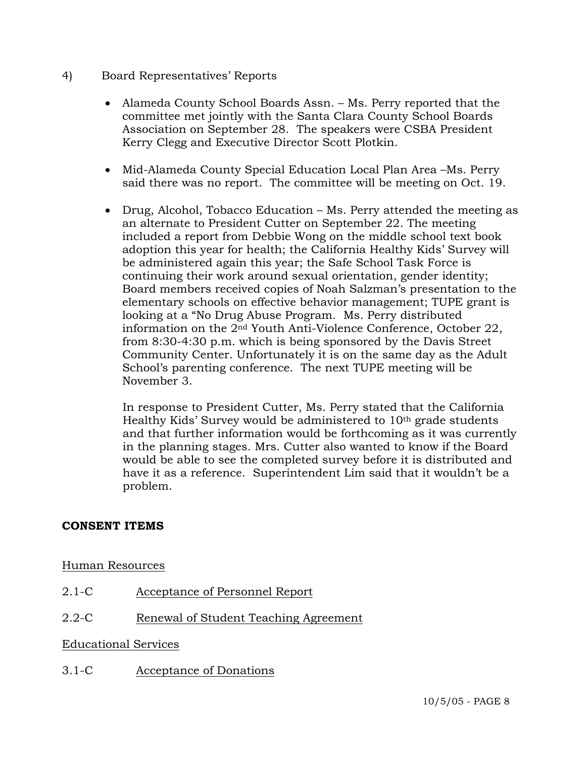- 4) Board Representatives' Reports
	- Alameda County School Boards Assn. Ms. Perry reported that the committee met jointly with the Santa Clara County School Boards Association on September 28. The speakers were CSBA President Kerry Clegg and Executive Director Scott Plotkin.
	- Mid-Alameda County Special Education Local Plan Area –Ms. Perry said there was no report. The committee will be meeting on Oct. 19.
	- Drug, Alcohol, Tobacco Education Ms. Perry attended the meeting as an alternate to President Cutter on September 22. The meeting included a report from Debbie Wong on the middle school text book adoption this year for health; the California Healthy Kids' Survey will be administered again this year; the Safe School Task Force is continuing their work around sexual orientation, gender identity; Board members received copies of Noah Salzman's presentation to the elementary schools on effective behavior management; TUPE grant is looking at a "No Drug Abuse Program. Ms. Perry distributed information on the 2nd Youth Anti-Violence Conference, October 22, from 8:30-4:30 p.m. which is being sponsored by the Davis Street Community Center. Unfortunately it is on the same day as the Adult School's parenting conference. The next TUPE meeting will be November 3.

 In response to President Cutter, Ms. Perry stated that the California Healthy Kids' Survey would be administered to 10th grade students and that further information would be forthcoming as it was currently in the planning stages. Mrs. Cutter also wanted to know if the Board would be able to see the completed survey before it is distributed and have it as a reference. Superintendent Lim said that it wouldn't be a problem.

# **CONSENT ITEMS**

## Human Resources

2.1-C Acceptance of Personnel Report

# 2.2-C Renewal of Student Teaching Agreement

## Educational Services

3.1-C Acceptance of Donations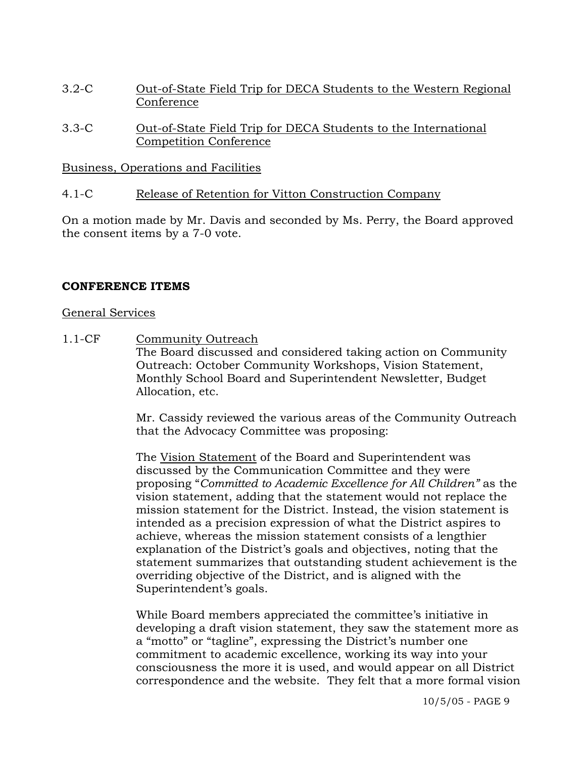- 3.2-C Out-of-State Field Trip for DECA Students to the Western Regional Conference
- 3.3-C Out-of-State Field Trip for DECA Students to the International Competition Conference

## Business, Operations and Facilities

## 4.1-C Release of Retention for Vitton Construction Company

On a motion made by Mr. Davis and seconded by Ms. Perry, the Board approved the consent items by a 7-0 vote.

## **CONFERENCE ITEMS**

#### General Services

1.1-CF Community Outreach The Board discussed and considered taking action on Community Outreach: October Community Workshops, Vision Statement, Monthly School Board and Superintendent Newsletter, Budget Allocation, etc.

> Mr. Cassidy reviewed the various areas of the Community Outreach that the Advocacy Committee was proposing:

> The Vision Statement of the Board and Superintendent was discussed by the Communication Committee and they were proposing "*Committed to Academic Excellence for All Children"* as the vision statement, adding that the statement would not replace the mission statement for the District. Instead, the vision statement is intended as a precision expression of what the District aspires to achieve, whereas the mission statement consists of a lengthier explanation of the District's goals and objectives, noting that the statement summarizes that outstanding student achievement is the overriding objective of the District, and is aligned with the Superintendent's goals.

> While Board members appreciated the committee's initiative in developing a draft vision statement, they saw the statement more as a "motto" or "tagline", expressing the District's number one commitment to academic excellence, working its way into your consciousness the more it is used, and would appear on all District correspondence and the website. They felt that a more formal vision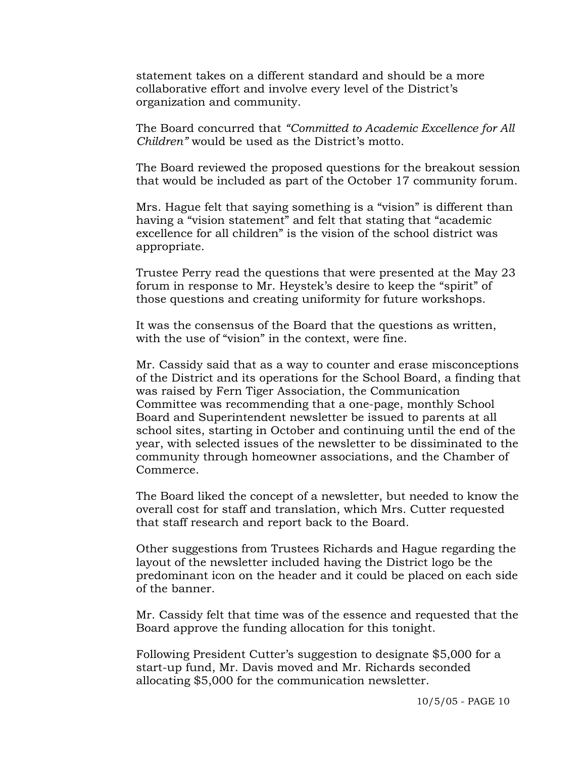statement takes on a different standard and should be a more collaborative effort and involve every level of the District's organization and community.

The Board concurred that *"Committed to Academic Excellence for All Children"* would be used as the District's motto.

The Board reviewed the proposed questions for the breakout session that would be included as part of the October 17 community forum.

Mrs. Hague felt that saying something is a "vision" is different than having a "vision statement" and felt that stating that "academic excellence for all children" is the vision of the school district was appropriate.

Trustee Perry read the questions that were presented at the May 23 forum in response to Mr. Heystek's desire to keep the "spirit" of those questions and creating uniformity for future workshops.

It was the consensus of the Board that the questions as written, with the use of "vision" in the context, were fine.

Mr. Cassidy said that as a way to counter and erase misconceptions of the District and its operations for the School Board, a finding that was raised by Fern Tiger Association, the Communication Committee was recommending that a one-page, monthly School Board and Superintendent newsletter be issued to parents at all school sites, starting in October and continuing until the end of the year, with selected issues of the newsletter to be dissiminated to the community through homeowner associations, and the Chamber of Commerce.

The Board liked the concept of a newsletter, but needed to know the overall cost for staff and translation, which Mrs. Cutter requested that staff research and report back to the Board.

Other suggestions from Trustees Richards and Hague regarding the layout of the newsletter included having the District logo be the predominant icon on the header and it could be placed on each side of the banner.

Mr. Cassidy felt that time was of the essence and requested that the Board approve the funding allocation for this tonight.

Following President Cutter's suggestion to designate \$5,000 for a start-up fund, Mr. Davis moved and Mr. Richards seconded allocating \$5,000 for the communication newsletter.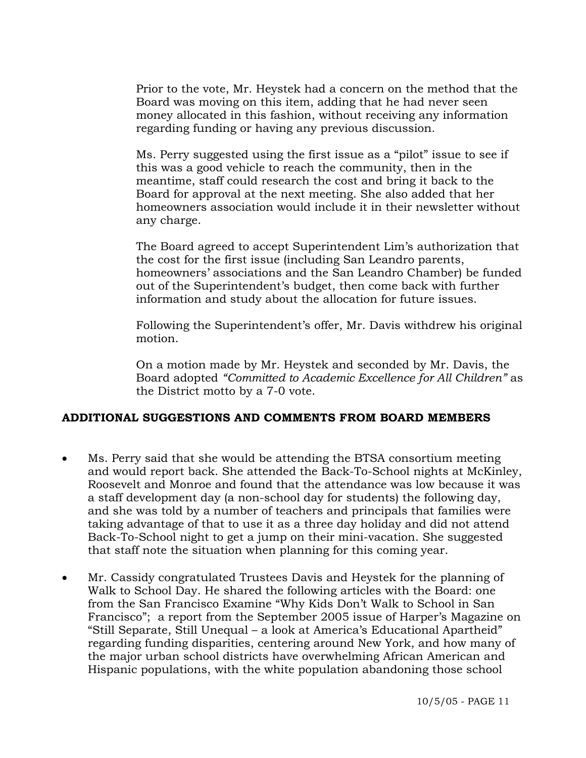Prior to the vote, Mr. Heystek had a concern on the method that the Board was moving on this item, adding that he had never seen money allocated in this fashion, without receiving any information regarding funding or having any previous discussion.

Ms. Perry suggested using the first issue as a "pilot" issue to see if this was a good vehicle to reach the community, then in the meantime, staff could research the cost and bring it back to the Board for approval at the next meeting. She also added that her homeowners association would include it in their newsletter without any charge.

The Board agreed to accept Superintendent Lim's authorization that the cost for the first issue (including San Leandro parents, homeowners' associations and the San Leandro Chamber) be funded out of the Superintendent's budget, then come back with further information and study about the allocation for future issues.

Following the Superintendent's offer, Mr. Davis withdrew his original motion.

On a motion made by Mr. Heystek and seconded by Mr. Davis, the Board adopted *"Committed to Academic Excellence for All Children"* as the District motto by a 7-0 vote.

## **ADDITIONAL SUGGESTIONS AND COMMENTS FROM BOARD MEMBERS**

- Ms. Perry said that she would be attending the BTSA consortium meeting and would report back. She attended the Back-To-School nights at McKinley, Roosevelt and Monroe and found that the attendance was low because it was a staff development day (a non-school day for students) the following day, and she was told by a number of teachers and principals that families were taking advantage of that to use it as a three day holiday and did not attend Back-To-School night to get a jump on their mini-vacation. She suggested that staff note the situation when planning for this coming year.
- Mr. Cassidy congratulated Trustees Davis and Heystek for the planning of Walk to School Day. He shared the following articles with the Board: one from the San Francisco Examine "Why Kids Don't Walk to School in San Francisco"; a report from the September 2005 issue of Harper's Magazine on "Still Separate, Still Unequal – a look at America's Educational Apartheid" regarding funding disparities, centering around New York, and how many of the major urban school districts have overwhelming African American and Hispanic populations, with the white population abandoning those school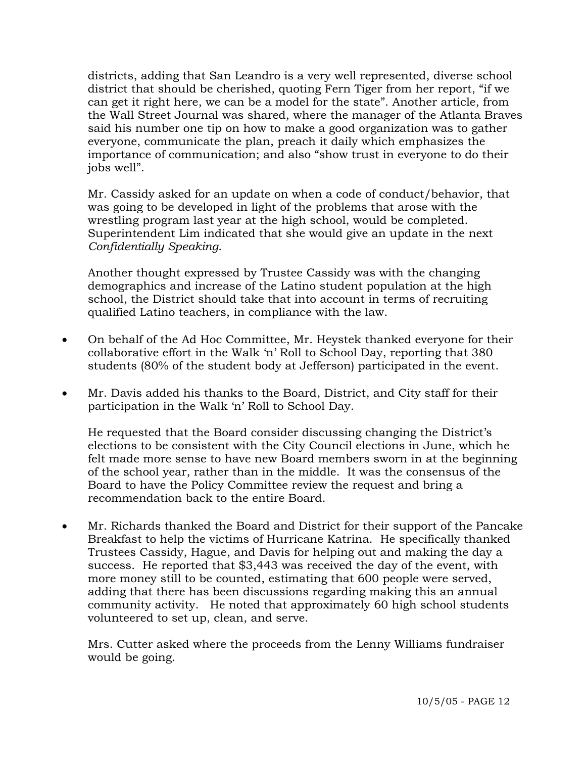districts, adding that San Leandro is a very well represented, diverse school district that should be cherished, quoting Fern Tiger from her report, "if we can get it right here, we can be a model for the state". Another article, from the Wall Street Journal was shared, where the manager of the Atlanta Braves said his number one tip on how to make a good organization was to gather everyone, communicate the plan, preach it daily which emphasizes the importance of communication; and also "show trust in everyone to do their jobs well".

 Mr. Cassidy asked for an update on when a code of conduct/behavior, that was going to be developed in light of the problems that arose with the wrestling program last year at the high school, would be completed. Superintendent Lim indicated that she would give an update in the next *Confidentially Speaking*.

 Another thought expressed by Trustee Cassidy was with the changing demographics and increase of the Latino student population at the high school, the District should take that into account in terms of recruiting qualified Latino teachers, in compliance with the law.

- On behalf of the Ad Hoc Committee, Mr. Heystek thanked everyone for their collaborative effort in the Walk 'n' Roll to School Day, reporting that 380 students (80% of the student body at Jefferson) participated in the event.
- Mr. Davis added his thanks to the Board, District, and City staff for their participation in the Walk 'n' Roll to School Day.

 He requested that the Board consider discussing changing the District's elections to be consistent with the City Council elections in June, which he felt made more sense to have new Board members sworn in at the beginning of the school year, rather than in the middle. It was the consensus of the Board to have the Policy Committee review the request and bring a recommendation back to the entire Board.

• Mr. Richards thanked the Board and District for their support of the Pancake Breakfast to help the victims of Hurricane Katrina. He specifically thanked Trustees Cassidy, Hague, and Davis for helping out and making the day a success. He reported that \$3,443 was received the day of the event, with more money still to be counted, estimating that 600 people were served, adding that there has been discussions regarding making this an annual community activity. He noted that approximately 60 high school students volunteered to set up, clean, and serve.

 Mrs. Cutter asked where the proceeds from the Lenny Williams fundraiser would be going.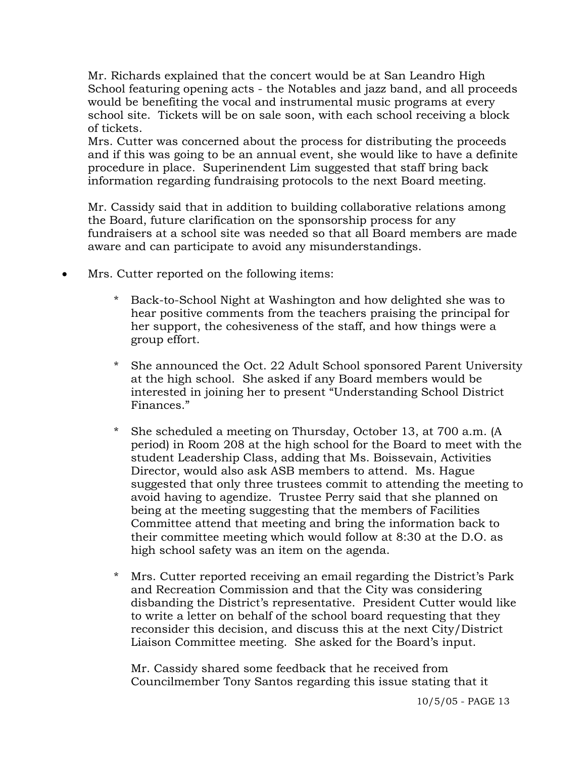Mr. Richards explained that the concert would be at San Leandro High School featuring opening acts - the Notables and jazz band, and all proceeds would be benefiting the vocal and instrumental music programs at every school site. Tickets will be on sale soon, with each school receiving a block of tickets.

 Mrs. Cutter was concerned about the process for distributing the proceeds and if this was going to be an annual event, she would like to have a definite procedure in place. Superinendent Lim suggested that staff bring back information regarding fundraising protocols to the next Board meeting.

 Mr. Cassidy said that in addition to building collaborative relations among the Board, future clarification on the sponsorship process for any fundraisers at a school site was needed so that all Board members are made aware and can participate to avoid any misunderstandings.

- Mrs. Cutter reported on the following items:
	- Back-to-School Night at Washington and how delighted she was to hear positive comments from the teachers praising the principal for her support, the cohesiveness of the staff, and how things were a group effort.
	- She announced the Oct. 22 Adult School sponsored Parent University at the high school. She asked if any Board members would be interested in joining her to present "Understanding School District Finances."
	- She scheduled a meeting on Thursday, October 13, at 700 a.m. (A period) in Room 208 at the high school for the Board to meet with the student Leadership Class, adding that Ms. Boissevain, Activities Director, would also ask ASB members to attend. Ms. Hague suggested that only three trustees commit to attending the meeting to avoid having to agendize. Trustee Perry said that she planned on being at the meeting suggesting that the members of Facilities Committee attend that meeting and bring the information back to their committee meeting which would follow at 8:30 at the D.O. as high school safety was an item on the agenda.
	- Mrs. Cutter reported receiving an email regarding the District's Park and Recreation Commission and that the City was considering disbanding the District's representative. President Cutter would like to write a letter on behalf of the school board requesting that they reconsider this decision, and discuss this at the next City/District Liaison Committee meeting. She asked for the Board's input.

 Mr. Cassidy shared some feedback that he received from Councilmember Tony Santos regarding this issue stating that it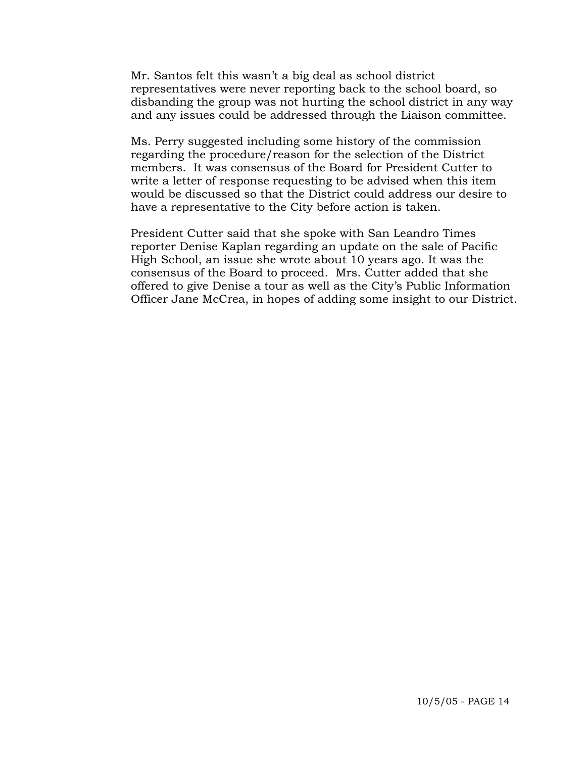Mr. Santos felt this wasn't a big deal as school district representatives were never reporting back to the school board, so disbanding the group was not hurting the school district in any way and any issues could be addressed through the Liaison committee.

 Ms. Perry suggested including some history of the commission regarding the procedure/reason for the selection of the District members. It was consensus of the Board for President Cutter to write a letter of response requesting to be advised when this item would be discussed so that the District could address our desire to have a representative to the City before action is taken.

 President Cutter said that she spoke with San Leandro Times reporter Denise Kaplan regarding an update on the sale of Pacific High School, an issue she wrote about 10 years ago. It was the consensus of the Board to proceed. Mrs. Cutter added that she offered to give Denise a tour as well as the City's Public Information Officer Jane McCrea, in hopes of adding some insight to our District.